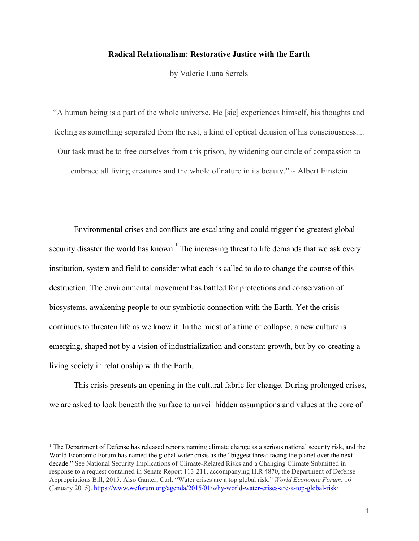## **Radical Relationalism: Restorative Justice with the Earth**

by Valerie Luna Serrels

"A human being is a part of the whole universe. He [sic] experiences himself, his thoughts and feeling as something separated from the rest, a kind of optical delusion of his consciousness.... Our task must be to free ourselves from this prison, by widening our circle of compassion to embrace all living creatures and the whole of nature in its beauty."  $\sim$  Albert Einstein

Environmental crises and conflicts are escalating and could trigger the greatest global security disaster the world has known.<sup> $1$ </sup> The increasing threat to life demands that we ask every institution, system and field to consider what each is called to do to change the course of this destruction. The environmental movement has battled for protections and conservation of biosystems, awakening people to our symbiotic connection with the Earth. Yet the crisis continues to threaten life as we know it. In the midst of a time of collapse, a new culture is emerging, shaped not by a vision of industrialization and constant growth, but by co-creating a living society in relationship with the Earth.

This crisis presents an opening in the cultural fabric for change. During prolonged crises, we are asked to look beneath the surface to unveil hidden assumptions and values at the core of

<sup>&</sup>lt;sup>1</sup> The Department of Defense has released reports naming climate change as a serious national security risk, and the World Economic Forum has named the global water crisis as the "biggest threat facing the planet over the next decade." See National Security Implications of Climate-Related Risks and a Changing Climate.Submitted in response to a request contained in Senate Report 113-211, accompanying H.R 4870, the Department of Defense Appropriations Bill, 2015. Also Ganter, Carl. "Water crises are a top global risk." *World Economic Forum*. 16 (January 2015). <https://www.weforum.org/agenda/2015/01/why-world-water-crises-are-a-top-global-risk/>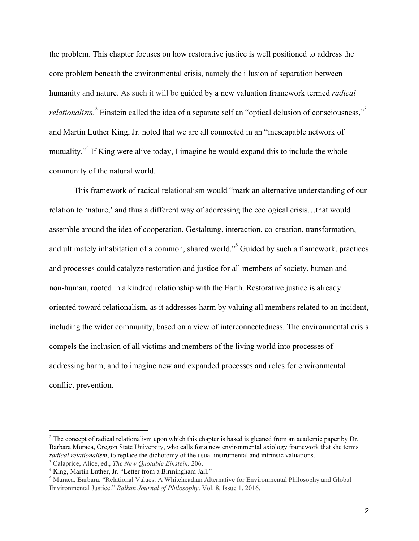the problem. This chapter focuses on how restorative justice is well positioned to address the core problem beneath the environmental crisis, namely the illusion of separation between humanity and nature. As such it will be guided by a new valuation framework termed *radical relationalism.* <sup>2</sup> Einstein called the idea of a separate self an "optical delusion of consciousness,"<sup>3</sup> and Martin Luther King, Jr. noted that we are all connected in an "inescapable network of mutuality. $\mathbf{r}^4$  If King were alive today. I imagine he would expand this to include the whole community of the natural world.

This framework of radical relationalism would "mark an alternative understanding of our relation to 'nature,' and thus a different way of addressing the ecological crisis…that would assemble around the idea of cooperation, Gestaltung, interaction, co-creation, transformation, and ultimately inhabitation of a common, shared world."<sup>5</sup> Guided by such a framework, practices and processes could catalyze restoration and justice for all members of society, human and non-human, rooted in a kindred relationship with the Earth. Restorative justice is already oriented toward relationalism, as it addresses harm by valuing all members related to an incident, including the wider community, based on a view of interconnectedness. The environmental crisis compels the inclusion of all victims and members of the living world into processes of addressing harm, and to imagine new and expanded processes and roles for environmental conflict prevention.

<sup>&</sup>lt;sup>2</sup> The concept of radical relationalism upon which this chapter is based is gleaned from an academic paper by Dr. Barbara Muraca, Oregon State University, who calls for a new environmental axiology framework that she terms *radical relationalism*, to replace the dichotomy of the usual instrumental and intrinsic valuations.

<sup>3</sup> Calaprice, Alice, ed., *The New Quotable Einstein,* 206.

<sup>&</sup>lt;sup>4</sup> King, Martin Luther, Jr. "Letter from a Birmingham Jail."

<sup>5</sup> Muraca, Barbara. "Relational Values: A Whiteheadian Alternative for Environmental Philosophy and Global Environmental Justice." *Balkan Journal of Philosophy*. Vol. 8, Issue 1, 2016.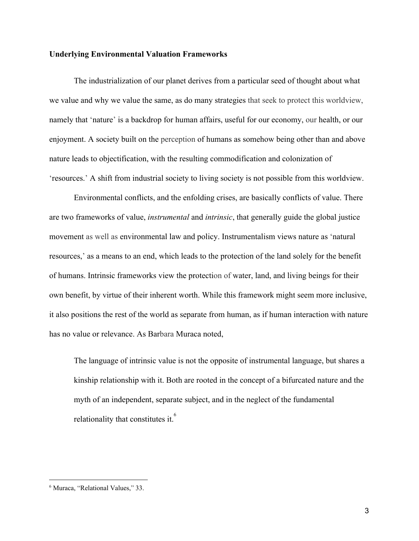### **Underlying Environmental Valuation Frameworks**

The industrialization of our planet derives from a particular seed of thought about what we value and why we value the same, as do many strategies that seek to protect this worldview, namely that 'nature' is a backdrop for human affairs, useful for our economy, our health, or our enjoyment. A society built on the perception of humans as somehow being other than and above nature leads to objectification, with the resulting commodification and colonization of 'resources.' A shift from industrial society to living society is not possible from this worldview.

Environmental conflicts, and the enfolding crises, are basically conflicts of value. There are two frameworks of value, *instrumental* and *intrinsic*, that generally guide the global justice movement as well as environmental law and policy. Instrumentalism views nature as 'natural resources,' as a means to an end, which leads to the protection of the land solely for the benefit of humans. Intrinsic frameworks view the protection of water, land, and living beings for their own benefit, by virtue of their inherent worth. While this framework might seem more inclusive, it also positions the rest of the world as separate from human, as if human interaction with nature has no value or relevance. As Barbara Muraca noted,

The language of intrinsic value is not the opposite of instrumental language, but shares a kinship relationship with it. Both are rooted in the concept of a bifurcated nature and the myth of an independent, separate subject, and in the neglect of the fundamental relationality that constitutes it.<sup>6</sup>

<sup>6</sup> Muraca, "Relational Values," 33.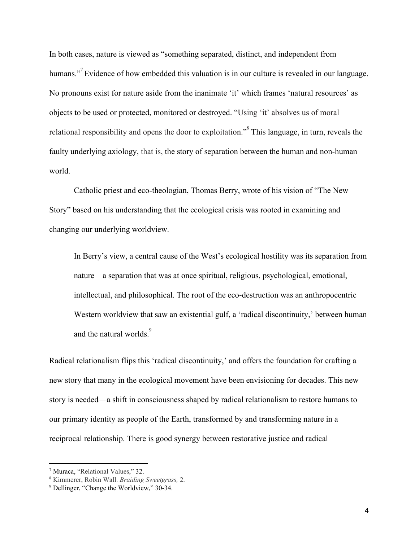In both cases, nature is viewed as "something separated, distinct, and independent from humans."<sup>7</sup> Evidence of how embedded this valuation is in our culture is revealed in our language. No pronouns exist for nature aside from the inanimate 'it' which frames 'natural resources' as objects to be used or protected, monitored or destroyed. "Using 'it' absolves us of moral relational responsibility and opens the door to exploitation.<sup> $3<sup>8</sup>$ </sup> This language, in turn, reveals the faulty underlying axiology, that is, the story of separation between the human and non-human world.

Catholic priest and eco-theologian, Thomas Berry, wrote of his vision of "The New Story" based on his understanding that the ecological crisis was rooted in examining and changing our underlying worldview.

In Berry's view, a central cause of the West's ecological hostility was its separation from nature—a separation that was at once spiritual, religious, psychological, emotional, intellectual, and philosophical. The root of the eco-destruction was an anthropocentric Western worldview that saw an existential gulf, a 'radical discontinuity,' between human and the natural worlds.<sup>9</sup>

Radical relationalism flips this 'radical discontinuity,' and offers the foundation for crafting a new story that many in the ecological movement have been envisioning for decades. This new story is needed—a shift in consciousness shaped by radical relationalism to restore humans to our primary identity as people of the Earth, transformed by and transforming nature in a reciprocal relationship. There is good synergy between restorative justice and radical

<sup>7</sup> Muraca, "Relational Values," 32.

<sup>8</sup> Kimmerer, Robin Wall. *Braiding Sweetgrass,* 2.

<sup>9</sup> Dellinger, "Change the Worldview," 30-34.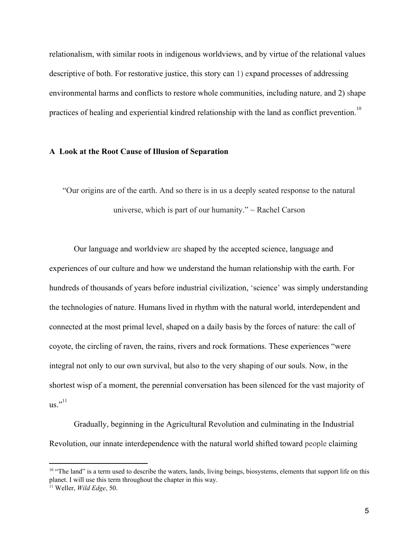relationalism, with similar roots in indigenous worldviews, and by virtue of the relational values descriptive of both. For restorative justice, this story can 1) expand processes of addressing environmental harms and conflicts to restore whole communities, including nature, and 2) shape practices of healing and experiential kindred relationship with the land as conflict prevention.<sup>10</sup>

#### **A Look at the Root Cause of Illusion of Separation**

"Our origins are of the earth. And so there is in us a deeply seated response to the natural universe, which is part of our humanity."  $\sim$  Rachel Carson

Our language and worldview are shaped by the accepted science, language and experiences of our culture and how we understand the human relationship with the earth. For hundreds of thousands of years before industrial civilization, 'science' was simply understanding the technologies of nature. Humans lived in rhythm with the natural world, interdependent and connected at the most primal level, shaped on a daily basis by the forces of nature: the call of coyote, the circling of raven, the rains, rivers and rock formations. These experiences "were integral not only to our own survival, but also to the very shaping of our souls. Now, in the shortest wisp of a moment, the perennial conversation has been silenced for the vast majority of  $us.$ <sup>"11</sup>

Gradually, beginning in the Agricultural Revolution and culminating in the Industrial Revolution, our innate interdependence with the natural world shifted toward people claiming

<sup>&</sup>lt;sup>10</sup> "The land" is a term used to describe the waters, lands, living beings, biosystems, elements that support life on this planet. I will use this term throughout the chapter in this way.

<sup>11</sup> Weller, *Wild Edge*, 50.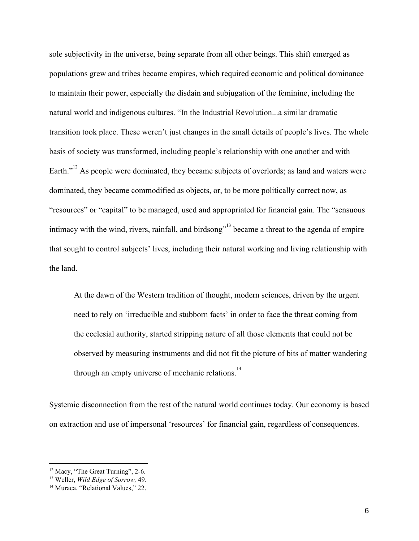sole subjectivity in the universe, being separate from all other beings. This shift emerged as populations grew and tribes became empires, which required economic and political dominance to maintain their power, especially the disdain and subjugation of the feminine, including the natural world and indigenous cultures. "In the Industrial Revolution...a similar dramatic transition took place. These weren't just changes in the small details of people's lives. The whole basis of society was transformed, including people's relationship with one another and with Earth. $1^{2}$  As people were dominated, they became subjects of overlords; as land and waters were dominated, they became commodified as objects, or, to be more politically correct now, as "resources" or "capital" to be managed, used and appropriated for financial gain. The "sensuous intimacy with the wind, rivers, rainfall, and birdsong<sup> $13$ </sup> became a threat to the agenda of empire that sought to control subjects' lives, including their natural working and living relationship with the land.

At the dawn of the Western tradition of thought, modern sciences, driven by the urgent need to rely on 'irreducible and stubborn facts' in order to face the threat coming from the ecclesial authority, started stripping nature of all those elements that could not be observed by measuring instruments and did not fit the picture of bits of matter wandering through an empty universe of mechanic relations.<sup>14</sup>

Systemic disconnection from the rest of the natural world continues today. Our economy is based on extraction and use of impersonal 'resources' for financial gain, regardless of consequences.

<sup>&</sup>lt;sup>12</sup> Macy, "The Great Turning", 2-6.

<sup>13</sup> Weller, *Wild Edge of Sorrow,* 49.

<sup>&</sup>lt;sup>14</sup> Muraca, "Relational Values," 22.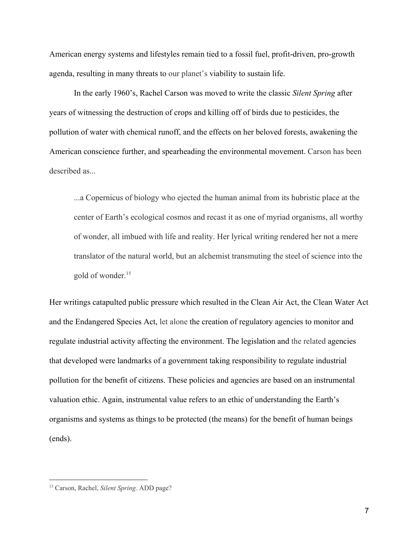American energy systems and lifestyles remain tied to a fossil fuel, profit-driven, pro-growth agenda, resulting in many threats to our planet's viability to sustain life.

In the early 1960's, Rachel Carson was moved to write the classic *Silent Spring* after years of witnessing the destruction of crops and killing off of birds due to pesticides, the pollution of water with chemical runoff, and the effects on her beloved forests, awakening the American conscience further, and spearheading the environmental movement. Carson has been described as...

...a Copernicus of biology who ejected the human animal from its hubristic place at the center of Earth's ecological cosmos and recast it as one of myriad organisms, all worthy of wonder, all imbued with life and reality. Her lyrical writing rendered her not a mere translator of the natural world, but an alchemist transmuting the steel of science into the gold of wonder.<sup>15</sup>

Her writings catapulted public pressure which resulted in the Clean Air Act, the Clean Water Act and the Endangered Species Act, let alone the creation of regulatory agencies to monitor and regulate industrial activity affecting the environment. The legislation and the related agencies that developed were landmarks of a government taking responsibility to regulate industrial pollution for the benefit of citizens. These policies and agencies are based on an instrumental valuation ethic. Again, instrumental value refers to an ethic of understanding the Earth's organisms and systems as things to be protected (the means) for the benefit of human beings (ends).

<sup>15</sup> Carson, Rachel, *Silent Spring*. ADD page?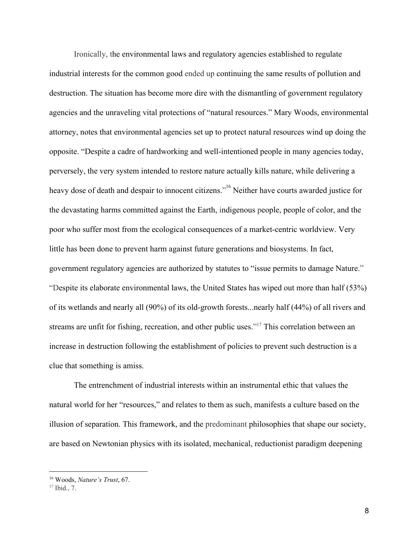Ironically, the environmental laws and regulatory agencies established to regulate industrial interests for the common good ended up continuing the same results of pollution and destruction. The situation has become more dire with the dismantling of government regulatory agencies and the unraveling vital protections of "natural resources." Mary Woods, environmental attorney, notes that environmental agencies set up to protect natural resources wind up doing the opposite. "Despite a cadre of hardworking and well-intentioned people in many agencies today, perversely, the very system intended to restore nature actually kills nature, while delivering a heavy dose of death and despair to innocent citizens.<sup>" 16</sup> Neither have courts awarded justice for the devastating harms committed against the Earth, indigenous people, people of color, and the poor who suffer most from the ecological consequences of a market-centric worldview. Very little has been done to prevent harm against future generations and biosystems. In fact, government regulatory agencies are authorized by statutes to "issue permits to damage Nature." "Despite its elaborate environmental laws, the United States has wiped out more than half (53%) of its wetlands and nearly all (90%) of its old-growth forests...nearly half (44%) of all rivers and streams are unfit for fishing, recreation, and other public uses."<sup>17</sup> This correlation between an increase in destruction following the establishment of policies to prevent such destruction is a clue that something is amiss.

The entrenchment of industrial interests within an instrumental ethic that values the natural world for her "resources," and relates to them as such, manifests a culture based on the illusion of separation. This framework, and the predominant philosophies that shape our society, are based on Newtonian physics with its isolated, mechanical, reductionist paradigm deepening

<sup>16</sup> Woods, *Nature's Trust*, 67.

 $17$  Ibid., 7.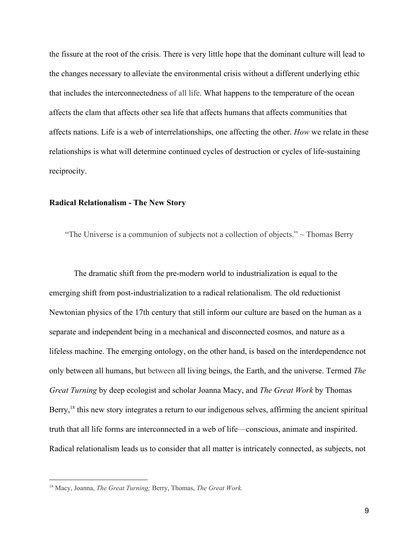the fissure at the root of the crisis. There is very little hope that the dominant culture will lead to the changes necessary to alleviate the environmental crisis without a different underlying ethic that includes the interconnectedness of all life. What happens to the temperature of the ocean affects the clam that affects other sea life that affects humans that affects communities that affects nations. Life is a web of interrelationships, one affecting the other. *How* we relate in these relationships is what will determine continued cycles of destruction or cycles of life-sustaining reciprocity.

# **Radical Relationalism - The New Story**

"The Universe is a communion of subjects not a collection of objects."  $\sim$  Thomas Berry

The dramatic shift from the pre-modern world to industrialization is equal to the emerging shift from post-industrialization to a radical relationalism. The old reductionist Newtonian physics of the 17th century that still inform our culture are based on the human as a separate and independent being in a mechanical and disconnected cosmos, and nature as a lifeless machine. The emerging ontology, on the other hand, is based on the interdependence not only between all humans, but between all living beings, the Earth, and the universe. Termed *The Great Turning* by deep ecologist and scholar Joanna Macy, and *The Great Work* by Thomas Berry,  $18$  this new story integrates a return to our indigenous selves, affirming the ancient spiritual truth that all life forms are interconnected in a web of life—conscious, animate and inspirited. Radical relationalism leads us to consider that all matter is intricately connected, as subjects, not

<sup>18</sup> Macy, Joanna, *The Great Turning;* Berry, Thomas, *The Great Work.*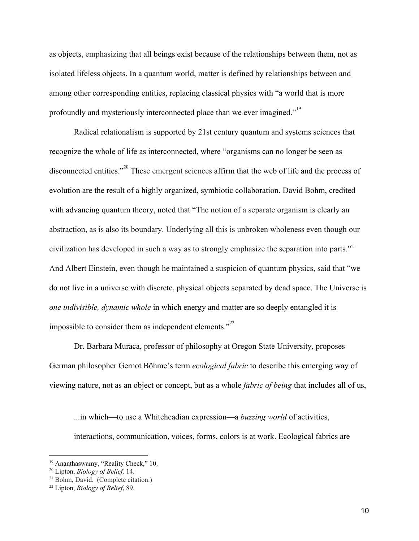as objects, emphasizing that all beings exist because of the relationships between them, not as isolated lifeless objects. In a quantum world, matter is defined by relationships between and among other corresponding entities, replacing classical physics with "a world that is more profoundly and mysteriously interconnected place than we ever imagined."<sup>19</sup>

Radical relationalism is supported by 21st century quantum and systems sciences that recognize the whole of life as interconnected, where "organisms can no longer be seen as disconnected entities."<sup>20</sup> These emergent sciences affirm that the web of life and the process of evolution are the result of a highly organized, symbiotic collaboration. David Bohm, credited with advancing quantum theory, noted that "The notion of a separate organism is clearly an abstraction, as is also its boundary. Underlying all this is unbroken wholeness even though our civilization has developed in such a way as to strongly emphasize the separation into parts."<sup>21</sup> And Albert Einstein, even though he maintained a suspicion of quantum physics, said that "we do not live in a universe with discrete, physical objects separated by dead space. The Universe is *one indivisible, dynamic whole* in which energy and matter are so deeply entangled it is impossible to consider them as independent elements. $\frac{1}{2}$ <sup>22</sup>

Dr. Barbara Muraca, professor of philosophy at Oregon State University, proposes German philosopher Gernot Böhme's term *ecological fabric* to describe this emerging way of viewing nature, not as an object or concept, but as a whole *fabric of being* that includes all of us,

...in which—to use a Whiteheadian expression—a *buzzing world* of activities, interactions, communication, voices, forms, colors is at work. Ecological fabrics are

<sup>&</sup>lt;sup>19</sup> Ananthaswamy, "Reality Check," 10.

<sup>20</sup> Lipton, *Biology of Belief,* 14.

<sup>21</sup> Bohm, David. (Complete citation.)

<sup>22</sup> Lipton, *Biology of Belief*, 89.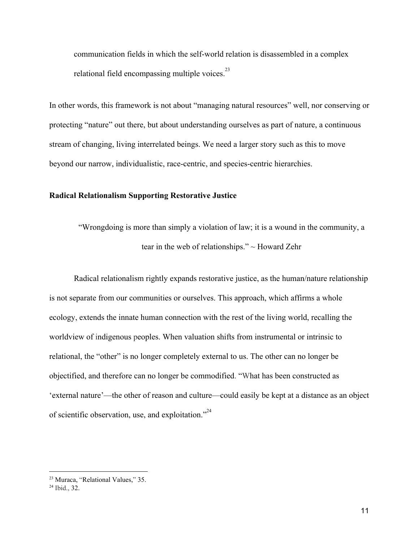communication fields in which the self-world relation is disassembled in a complex relational field encompassing multiple voices.<sup>23</sup>

In other words, this framework is not about "managing natural resources" well, nor conserving or protecting "nature" out there, but about understanding ourselves as part of nature, a continuous stream of changing, living interrelated beings. We need a larger story such as this to move beyond our narrow, individualistic, race-centric, and species-centric hierarchies.

# **Radical Relationalism Supporting Restorative Justice**

"Wrongdoing is more than simply a violation of law; it is a wound in the community, a tear in the web of relationships." ~ Howard Zehr

Radical relationalism rightly expands restorative justice, as the human/nature relationship is not separate from our communities or ourselves. This approach, which affirms a whole ecology, extends the innate human connection with the rest of the living world, recalling the worldview of indigenous peoples. When valuation shifts from instrumental or intrinsic to relational, the "other" is no longer completely external to us. The other can no longer be objectified, and therefore can no longer be commodified. "What has been constructed as 'external nature'—the other of reason and culture—could easily be kept at a distance as an object of scientific observation, use, and exploitation."<sup>24</sup>

<sup>23</sup> Muraca, "Relational Values," 35.

<sup>24</sup> Ibid., 32.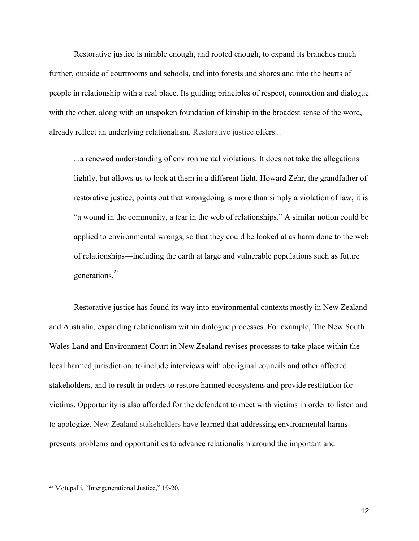Restorative justice is nimble enough, and rooted enough, to expand its branches much further, outside of courtrooms and schools, and into forests and shores and into the hearts of people in relationship with a real place. Its guiding principles of respect, connection and dialogue with the other, along with an unspoken foundation of kinship in the broadest sense of the word, already reflect an underlying relationalism. Restorative justice offers...

...a renewed understanding of environmental violations. It does not take the allegations lightly, but allows us to look at them in a different light. Howard Zehr, the grandfather of restorative justice, points out that wrongdoing is more than simply a violation of law; it is "a wound in the community, a tear in the web of relationships." A similar notion could be applied to environmental wrongs, so that they could be looked at as harm done to the web of relationships––including the earth at large and vulnerable populations such as future generations.<sup>25</sup>

Restorative justice has found its way into environmental contexts mostly in New Zealand and Australia, expanding relationalism within dialogue processes. For example, The New South Wales Land and Environment Court in New Zealand revises processes to take place within the local harmed jurisdiction, to include interviews with aboriginal councils and other affected stakeholders, and to result in orders to restore harmed ecosystems and provide restitution for victims. Opportunity is also afforded for the defendant to meet with victims in order to listen and to apologize. New Zealand stakeholders have learned that addressing environmental harms presents problems and opportunities to advance relationalism around the important and

<sup>25</sup> Motupalli, "Intergenerational Justice," 19-20.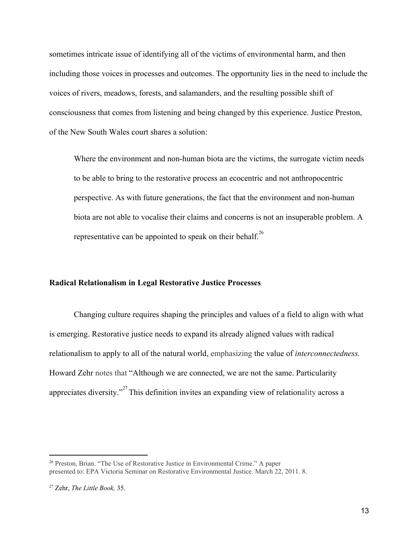sometimes intricate issue of identifying all of the victims of environmental harm, and then including those voices in processes and outcomes. The opportunity lies in the need to include the voices of rivers, meadows, forests, and salamanders, and the resulting possible shift of consciousness that comes from listening and being changed by this experience. Justice Preston, of the New South Wales court shares a solution:

Where the environment and non-human biota are the victims, the surrogate victim needs to be able to bring to the restorative process an ecocentric and not anthropocentric perspective. As with future generations, the fact that the environment and non-human biota are not able to vocalise their claims and concerns is not an insuperable problem. A representative can be appointed to speak on their behalf.<sup>26</sup>

## **Radical Relationalism in Legal Restorative Justice Processes**

Changing culture requires shaping the principles and values of a field to align with what is emerging. Restorative justice needs to expand its already aligned values with radical relationalism to apply to all of the natural world, emphasizing the value of *interconnectedness.* Howard Zehr notes that "Although we are connected, we are not the same. Particularity appreciates diversity."<sup>27</sup> This definition invites an expanding view of relationality across a

<sup>26</sup> Preston, Brian. "The Use of Restorative Justice in Environmental Crime." A paper presented to: EPA Victoria Seminar on Restorative Environmental Justice. March 22, 2011. 8.

<sup>27</sup> Zehr, *The Little Book,* 35.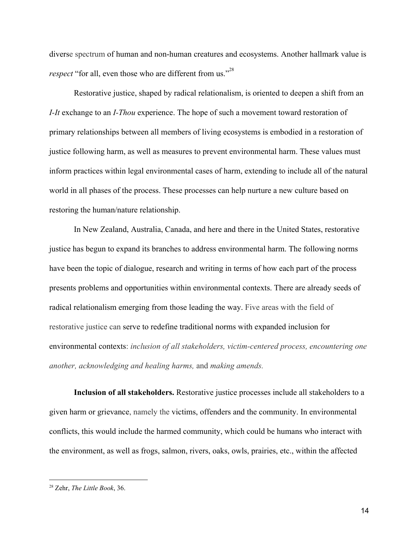diverse spectrum of human and non-human creatures and ecosystems. Another hallmark value is *respect* "for all, even those who are different from us."<sup>28</sup>

Restorative justice, shaped by radical relationalism, is oriented to deepen a shift from an *I-It* exchange to an *I-Thou* experience. The hope of such a movement toward restoration of primary relationships between all members of living ecosystems is embodied in a restoration of justice following harm, as well as measures to prevent environmental harm. These values must inform practices within legal environmental cases of harm, extending to include all of the natural world in all phases of the process. These processes can help nurture a new culture based on restoring the human/nature relationship.

In New Zealand, Australia, Canada, and here and there in the United States, restorative justice has begun to expand its branches to address environmental harm. The following norms have been the topic of dialogue, research and writing in terms of how each part of the process presents problems and opportunities within environmental contexts. There are already seeds of radical relationalism emerging from those leading the way. Five areas with the field of restorative justice can serve to redefine traditional norms with expanded inclusion for environmental contexts: *inclusion of all stakeholders, victim-centered process, encountering one another, acknowledging and healing harms,* and *making amends.*

**Inclusion of all stakeholders.** Restorative justice processes include all stakeholders to a given harm or grievance, namely the victims, offenders and the community. In environmental conflicts, this would include the harmed community, which could be humans who interact with the environment, as well as frogs, salmon, rivers, oaks, owls, prairies, etc., within the affected

<sup>28</sup> Zehr, *The Little Book*, 36.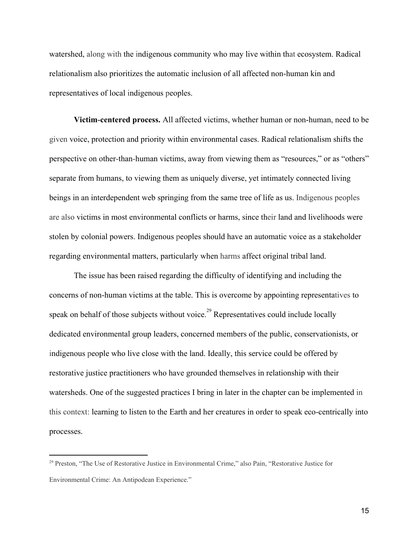watershed, along with the indigenous community who may live within that ecosystem. Radical relationalism also prioritizes the automatic inclusion of all affected non-human kin and representatives of local indigenous peoples.

**Victim-centered process.** All affected victims, whether human or non-human, need to be given voice, protection and priority within environmental cases. Radical relationalism shifts the perspective on other-than-human victims, away from viewing them as "resources," or as "others" separate from humans, to viewing them as uniquely diverse, yet intimately connected living beings in an interdependent web springing from the same tree of life as us. Indigenous peoples are also victims in most environmental conflicts or harms, since their land and livelihoods were stolen by colonial powers. Indigenous peoples should have an automatic voice as a stakeholder regarding environmental matters, particularly when harms affect original tribal land.

The issue has been raised regarding the difficulty of identifying and including the concerns of non-human victims at the table. This is overcome by appointing representatives to speak on behalf of those subjects without voice.<sup>29</sup> Representatives could include locally dedicated environmental group leaders, concerned members of the public, conservationists, or indigenous people who live close with the land. Ideally, this service could be offered by restorative justice practitioners who have grounded themselves in relationship with their watersheds. One of the suggested practices I bring in later in the chapter can be implemented in this context: learning to listen to the Earth and her creatures in order to speak eco-centrically into processes.

<sup>&</sup>lt;sup>29</sup> Preston, "The Use of Restorative Justice in Environmental Crime," also Pain, "Restorative Justice for Environmental Crime: An Antipodean Experience."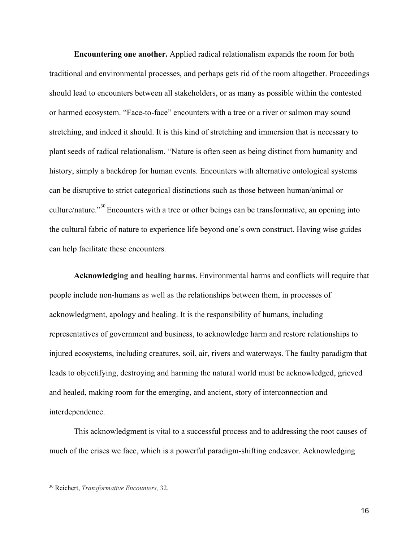**Encountering one another.** Applied radical relationalism expands the room for both traditional and environmental processes, and perhaps gets rid of the room altogether. Proceedings should lead to encounters between all stakeholders, or as many as possible within the contested or harmed ecosystem. "Face-to-face" encounters with a tree or a river or salmon may sound stretching, and indeed it should. It is this kind of stretching and immersion that is necessary to plant seeds of radical relationalism. "Nature is often seen as being distinct from humanity and history, simply a backdrop for human events. Encounters with alternative ontological systems can be disruptive to strict categorical distinctions such as those between human/animal or culture/nature."<sup>30</sup> Encounters with a tree or other beings can be transformative, an opening into the cultural fabric of nature to experience life beyond one's own construct. Having wise guides can help facilitate these encounters.

**Acknowledging and healing harms.** Environmental harms and conflicts will require that people include non-humans as well as the relationships between them, in processes of acknowledgment, apology and healing. It is the responsibility of humans, including representatives of government and business, to acknowledge harm and restore relationships to injured ecosystems, including creatures, soil, air, rivers and waterways. The faulty paradigm that leads to objectifying, destroying and harming the natural world must be acknowledged, grieved and healed, making room for the emerging, and ancient, story of interconnection and interdependence.

This acknowledgment is vital to a successful process and to addressing the root causes of much of the crises we face, which is a powerful paradigm-shifting endeavor. Acknowledging

<sup>30</sup> Reichert, *Transformative Encounters,* 32.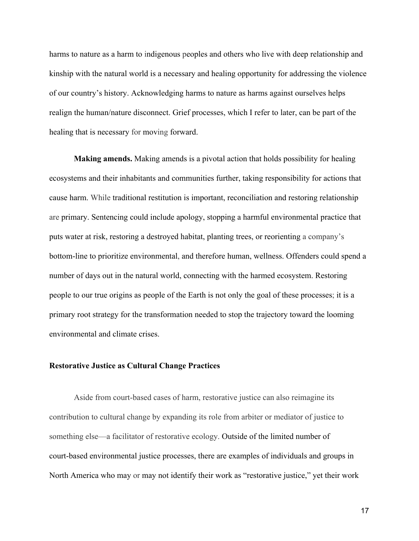harms to nature as a harm to indigenous peoples and others who live with deep relationship and kinship with the natural world is a necessary and healing opportunity for addressing the violence of our country's history. Acknowledging harms to nature as harms against ourselves helps realign the human/nature disconnect. Grief processes, which I refer to later, can be part of the healing that is necessary for moving forward.

**Making amends.** Making amends is a pivotal action that holds possibility for healing ecosystems and their inhabitants and communities further, taking responsibility for actions that cause harm. While traditional restitution is important, reconciliation and restoring relationship are primary. Sentencing could include apology, stopping a harmful environmental practice that puts water at risk, restoring a destroyed habitat, planting trees, or reorienting a company's bottom-line to prioritize environmental, and therefore human, wellness. Offenders could spend a number of days out in the natural world, connecting with the harmed ecosystem. Restoring people to our true origins as people of the Earth is not only the goal of these processes; it is a primary root strategy for the transformation needed to stop the trajectory toward the looming environmental and climate crises.

## **Restorative Justice as Cultural Change Practices**

Aside from court-based cases of harm, restorative justice can also reimagine its contribution to cultural change by expanding its role from arbiter or mediator of justice to something else––a facilitator of restorative ecology. Outside of the limited number of court-based environmental justice processes, there are examples of individuals and groups in North America who may or may not identify their work as "restorative justice," yet their work

17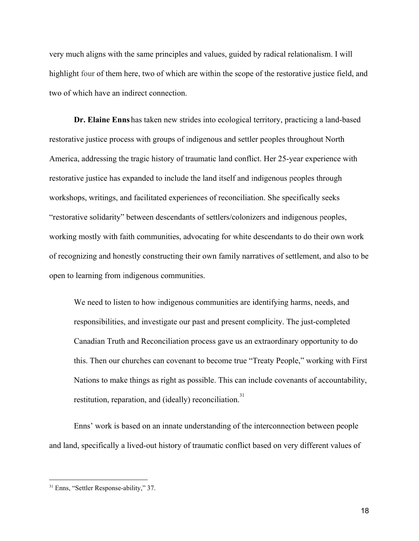very much aligns with the same principles and values, guided by radical relationalism. I will highlight four of them here, two of which are within the scope of the restorative justice field, and two of which have an indirect connection.

**Dr. Elaine Enns** has taken new strides into ecological territory, practicing a land-based restorative justice process with groups of indigenous and settler peoples throughout North America, addressing the tragic history of traumatic land conflict. Her 25-year experience with restorative justice has expanded to include the land itself and indigenous peoples through workshops, writings, and facilitated experiences of reconciliation. She specifically seeks "restorative solidarity" between descendants of settlers/colonizers and indigenous peoples, working mostly with faith communities, advocating for white descendants to do their own work of recognizing and honestly constructing their own family narratives of settlement, and also to be open to learning from indigenous communities.

We need to listen to how indigenous communities are identifying harms, needs, and responsibilities, and investigate our past and present complicity. The just-completed Canadian Truth and Reconciliation process gave us an extraordinary opportunity to do this. Then our churches can covenant to become true "Treaty People," working with First Nations to make things as right as possible. This can include covenants of accountability, restitution, reparation, and (ideally) reconciliation.<sup>31</sup>

Enns' work is based on an innate understanding of the interconnection between people and land, specifically a lived-out history of traumatic conflict based on very different values of

<sup>&</sup>lt;sup>31</sup> Enns, "Settler Response-ability," 37.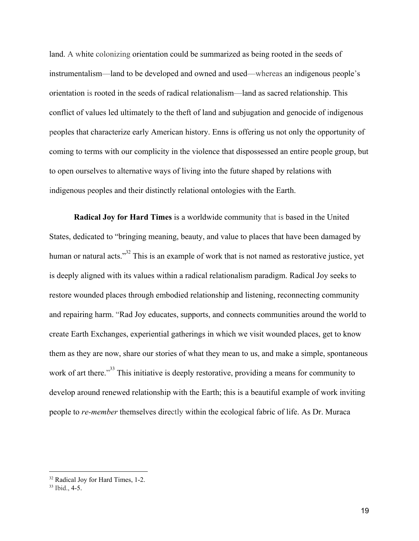land. A white colonizing orientation could be summarized as being rooted in the seeds of instrumentalism––land to be developed and owned and used––whereas an indigenous people's orientation is rooted in the seeds of radical relationalism––land as sacred relationship. This conflict of values led ultimately to the theft of land and subjugation and genocide of indigenous peoples that characterize early American history. Enns is offering us not only the opportunity of coming to terms with our complicity in the violence that dispossessed an entire people group, but to open ourselves to alternative ways of living into the future shaped by relations with indigenous peoples and their distinctly relational ontologies with the Earth.

**Radical Joy for Hard Times** is a worldwide community that is based in the United States, dedicated to "bringing meaning, beauty, and value to places that have been damaged by human or natural acts."<sup> $32$ </sup> This is an example of work that is not named as restorative justice, yet is deeply aligned with its values within a radical relationalism paradigm. Radical Joy seeks to restore wounded places through embodied relationship and listening, reconnecting community and repairing harm. "Rad Joy educates, supports, and connects communities around the world to create Earth Exchanges, experiential gatherings in which we visit wounded places, get to know them as they are now, share our stories of what they mean to us, and make a simple, spontaneous work of art there."<sup> $33$ </sup> This initiative is deeply restorative, providing a means for community to develop around renewed relationship with the Earth; this is a beautiful example of work inviting people to *re-member* themselves directly within the ecological fabric of life. As Dr. Muraca

<sup>32</sup> Radical Joy for Hard Times, 1-2.

 $33$  Ibid., 4-5.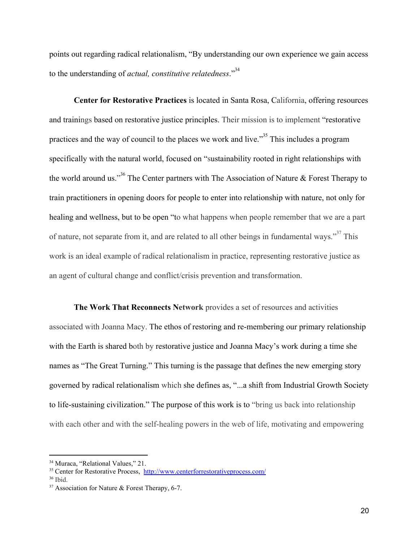points out regarding radical relationalism, "By understanding our own experience we gain access to the understanding of *actual, constitutive relatedness*."<sup>34</sup>

**Center for Restorative Practices** is located in Santa Rosa, California, offering resources and trainings based on restorative justice principles. Their mission is to implement "restorative practices and the way of council to the places we work and live."<sup>35</sup> This includes a program specifically with the natural world, focused on "sustainability rooted in right relationships with the world around us."<sup>36</sup> The Center partners with The Association of Nature & Forest Therapy to train practitioners in opening doors for people to enter into relationship with nature, not only for healing and wellness, but to be open "to what happens when people remember that we are a part of nature, not separate from it, and are related to all other beings in fundamental ways."<sup>37</sup> This work is an ideal example of radical relationalism in practice, representing restorative justice as an agent of cultural change and conflict/crisis prevention and transformation.

**The Work That Reconnects Network** provides a set of resources and activities associated with Joanna Macy. The ethos of restoring and re-membering our primary relationship with the Earth is shared both by restorative justice and Joanna Macy's work during a time she names as "The Great Turning." This turning is the passage that defines the new emerging story governed by radical relationalism which she defines as, "...a shift from Industrial Growth Society to life-sustaining civilization." The purpose of this work is to "bring us back into relationship with each other and with the self-healing powers in the web of life, motivating and empowering

<sup>&</sup>lt;sup>34</sup> Muraca, "Relational Values," 21.

<sup>35</sup> Center for Restorative Process, <http://www.centerforrestorativeprocess.com/>

 $36$  Ibid.

 $37$  Association for Nature & Forest Therapy, 6-7.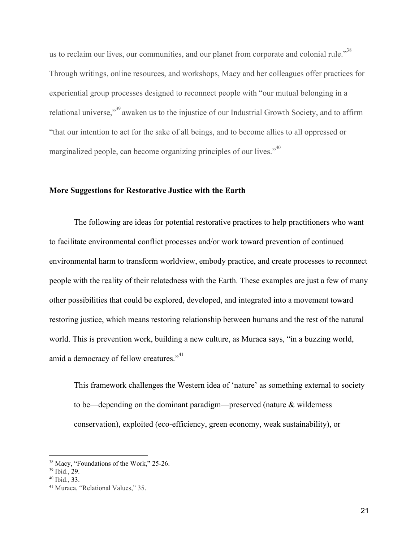us to reclaim our lives, our communities, and our planet from corporate and colonial rule."<sup>38</sup> Through writings, online resources, and workshops, Macy and her colleagues offer practices for experiential group processes designed to reconnect people with "our mutual belonging in a relational universe,"<sup>39</sup> awaken us to the injustice of our Industrial Growth Society, and to affirm "that our intention to act for the sake of all beings, and to become allies to all oppressed or marginalized people, can become organizing principles of our lives.<sup> $140$ </sup>

### **More Suggestions for Restorative Justice with the Earth**

The following are ideas for potential restorative practices to help practitioners who want to facilitate environmental conflict processes and/or work toward prevention of continued environmental harm to transform worldview, embody practice, and create processes to reconnect people with the reality of their relatedness with the Earth. These examples are just a few of many other possibilities that could be explored, developed, and integrated into a movement toward restoring justice, which means restoring relationship between humans and the rest of the natural world. This is prevention work, building a new culture, as Muraca says, "in a buzzing world, amid a democracy of fellow creatures."<sup>41</sup>

This framework challenges the Western idea of 'nature' as something external to society to be—depending on the dominant paradigm—preserved (nature & wilderness conservation), exploited (eco-efficiency, green economy, weak sustainability), or

<sup>&</sup>lt;sup>38</sup> Macy, "Foundations of the Work," 25-26.

<sup>39</sup> Ibid., 29.

<sup>40</sup> Ibid., 33.

<sup>41</sup> Muraca, "Relational Values," 35.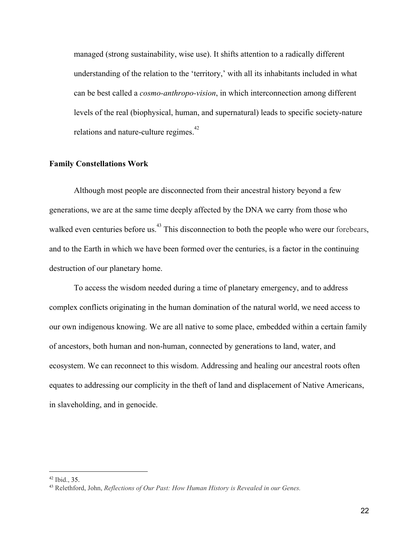managed (strong sustainability, wise use). It shifts attention to a radically different understanding of the relation to the 'territory,' with all its inhabitants included in what can be best called a *cosmo-anthropo-vision*, in which interconnection among different levels of the real (biophysical, human, and supernatural) leads to specific society-nature relations and nature-culture regimes.<sup>42</sup>

#### **Family Constellations Work**

Although most people are disconnected from their ancestral history beyond a few generations, we are at the same time deeply affected by the DNA we carry from those who walked even centuries before us.<sup>43</sup> This disconnection to both the people who were our forebears, and to the Earth in which we have been formed over the centuries, is a factor in the continuing destruction of our planetary home.

To access the wisdom needed during a time of planetary emergency, and to address complex conflicts originating in the human domination of the natural world, we need access to our own indigenous knowing. We are all native to some place, embedded within a certain family of ancestors, both human and non-human, connected by generations to land, water, and ecosystem. We can reconnect to this wisdom. Addressing and healing our ancestral roots often equates to addressing our complicity in the theft of land and displacement of Native Americans, in slaveholding, and in genocide.

 $42$  Ibid., 35.

<sup>43</sup> Relethford, John, *Reflections of Our Past: How Human History is Revealed in our Genes.*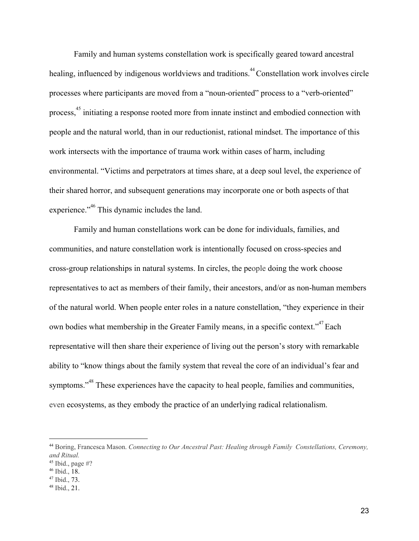Family and human systems constellation work is specifically geared toward ancestral healing, influenced by indigenous worldviews and traditions.<sup>44</sup> Constellation work involves circle processes where participants are moved from a "noun-oriented" process to a "verb-oriented" process, <sup>45</sup> initiating a response rooted more from innate instinct and embodied connection with people and the natural world, than in our reductionist, rational mindset. The importance of this work intersects with the importance of trauma work within cases of harm, including environmental. "Victims and perpetrators at times share, at a deep soul level, the experience of their shared horror, and subsequent generations may incorporate one or both aspects of that experience."<sup>46</sup> This dynamic includes the land.

Family and human constellations work can be done for individuals, families, and communities, and nature constellation work is intentionally focused on cross-species and cross-group relationships in natural systems. In circles, the people doing the work choose representatives to act as members of their family, their ancestors, and/or as non-human members of the natural world. When people enter roles in a nature constellation, "they experience in their own bodies what membership in the Greater Family means, in a specific context."<sup>47</sup> Each representative will then share their experience of living out the person's story with remarkable ability to "know things about the family system that reveal the core of an individual's fear and symptoms."<sup>48</sup> These experiences have the capacity to heal people, families and communities, even ecosystems, as they embody the practice of an underlying radical relationalism.

- <sup>46</sup> Ibid., 18.
- <sup>47</sup> Ibid., 73.

<sup>44</sup> Boring, Francesca Mason. *Connecting to Our Ancestral Past: Healing through Family Constellations, Ceremony, and Ritual.*

 $45$  Ibid., page #?

<sup>48</sup> Ibid., 21.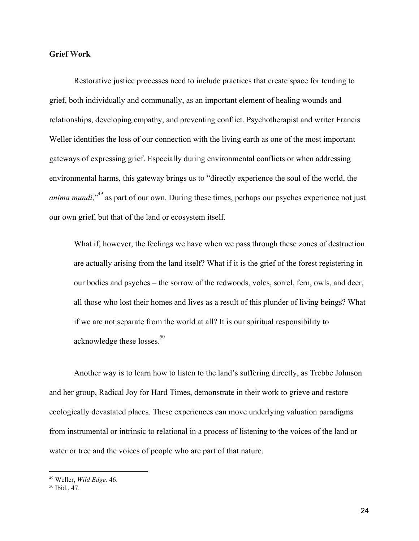# **Grief Work**

Restorative justice processes need to include practices that create space for tending to grief, both individually and communally, as an important element of healing wounds and relationships, developing empathy, and preventing conflict. Psychotherapist and writer Francis Weller identifies the loss of our connection with the living earth as one of the most important gateways of expressing grief. Especially during environmental conflicts or when addressing environmental harms, this gateway brings us to "directly experience the soul of the world, the *anima mundi*,<sup>"<sup>49</sup> as part of our own. During these times, perhaps our psyches experience not just</sup> our own grief, but that of the land or ecosystem itself.

What if, however, the feelings we have when we pass through these zones of destruction are actually arising from the land itself? What if it is the grief of the forest registering in our bodies and psyches – the sorrow of the redwoods, voles, sorrel, fern, owls, and deer, all those who lost their homes and lives as a result of this plunder of living beings? What if we are not separate from the world at all? It is our spiritual responsibility to acknowledge these losses.<sup>50</sup>

Another way is to learn how to listen to the land's suffering directly, as Trebbe Johnson and her group, Radical Joy for Hard Times, demonstrate in their work to grieve and restore ecologically devastated places. These experiences can move underlying valuation paradigms from instrumental or intrinsic to relational in a process of listening to the voices of the land or water or tree and the voices of people who are part of that nature.

<sup>49</sup> Weller, *Wild Edge,* 46.

<sup>50</sup> Ibid., 47.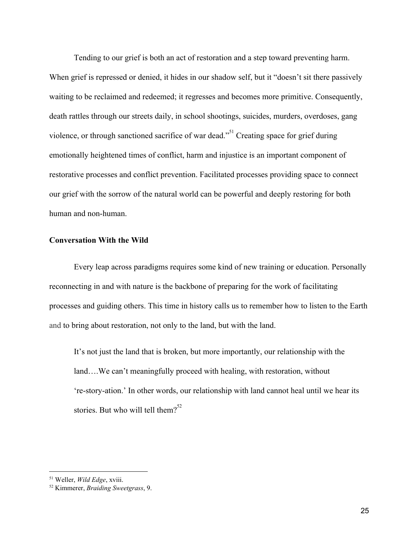Tending to our grief is both an act of restoration and a step toward preventing harm. When grief is repressed or denied, it hides in our shadow self, but it "doesn't sit there passively waiting to be reclaimed and redeemed; it regresses and becomes more primitive. Consequently, death rattles through our streets daily, in school shootings, suicides, murders, overdoses, gang violence, or through sanctioned sacrifice of war dead."<sup>51</sup> Creating space for grief during emotionally heightened times of conflict, harm and injustice is an important component of restorative processes and conflict prevention. Facilitated processes providing space to connect our grief with the sorrow of the natural world can be powerful and deeply restoring for both human and non-human.

# **Conversation With the Wild**

Every leap across paradigms requires some kind of new training or education. Personally reconnecting in and with nature is the backbone of preparing for the work of facilitating processes and guiding others. This time in history calls us to remember how to listen to the Earth and to bring about restoration, not only to the land, but with the land.

It's not just the land that is broken, but more importantly, our relationship with the land….We can't meaningfully proceed with healing, with restoration, without 're-story-ation.' In other words, our relationship with land cannot heal until we hear its stories. But who will tell them? $52$ 

<sup>51</sup> Weller, *Wild Edge*, xviii.

<sup>52</sup> Kimmerer, *Braiding Sweetgrass*, 9.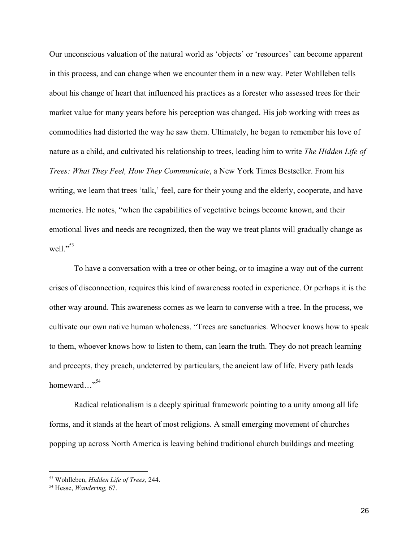Our unconscious valuation of the natural world as 'objects' or 'resources' can become apparent in this process, and can change when we encounter them in a new way. Peter Wohlleben tells about his change of heart that influenced his practices as a forester who assessed trees for their market value for many years before his perception was changed. His job working with trees as commodities had distorted the way he saw them. Ultimately, he began to remember his love of nature as a child, and cultivated his relationship to trees, leading him to write *The Hidden Life of Trees: What They Feel, How They Communicate*, a New York Times Bestseller. From his writing, we learn that trees 'talk,' feel, care for their young and the elderly, cooperate, and have memories. He notes, "when the capabilities of vegetative beings become known, and their emotional lives and needs are recognized, then the way we treat plants will gradually change as well." $53$ 

To have a conversation with a tree or other being, or to imagine a way out of the current crises of disconnection, requires this kind of awareness rooted in experience. Or perhaps it is the other way around. This awareness comes as we learn to converse with a tree. In the process, we cultivate our own native human wholeness. "Trees are sanctuaries. Whoever knows how to speak to them, whoever knows how to listen to them, can learn the truth. They do not preach learning and precepts, they preach, undeterred by particulars, the ancient law of life. Every path leads homeward..."<sup>54</sup>

Radical relationalism is a deeply spiritual framework pointing to a unity among all life forms, and it stands at the heart of most religions. A small emerging movement of churches popping up across North America is leaving behind traditional church buildings and meeting

<sup>53</sup> Wohlleben, *Hidden Life of Trees,* 244.

<sup>54</sup> Hesse, *Wandering,* 67.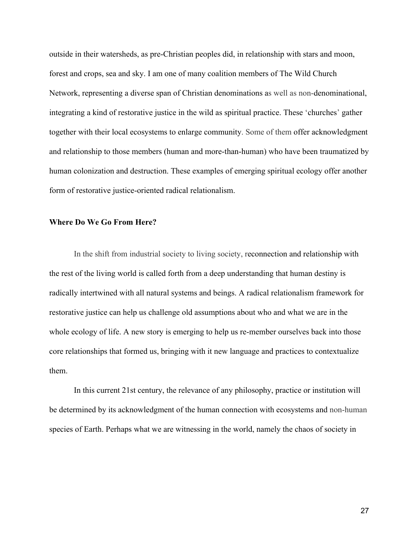outside in their watersheds, as pre-Christian peoples did, in relationship with stars and moon, forest and crops, sea and sky. I am one of many coalition members of The Wild Church Network, representing a diverse span of Christian denominations as well as non-denominational, integrating a kind of restorative justice in the wild as spiritual practice. These 'churches' gather together with their local ecosystems to enlarge community. Some of them offer acknowledgment and relationship to those members (human and more-than-human) who have been traumatized by human colonization and destruction. These examples of emerging spiritual ecology offer another form of restorative justice-oriented radical relationalism.

# **Where Do We Go From Here?**

In the shift from industrial society to living society, reconnection and relationship with the rest of the living world is called forth from a deep understanding that human destiny is radically intertwined with all natural systems and beings. A radical relationalism framework for restorative justice can help us challenge old assumptions about who and what we are in the whole ecology of life. A new story is emerging to help us re-member ourselves back into those core relationships that formed us, bringing with it new language and practices to contextualize them.

In this current 21st century, the relevance of any philosophy, practice or institution will be determined by its acknowledgment of the human connection with ecosystems and non-human species of Earth. Perhaps what we are witnessing in the world, namely the chaos of society in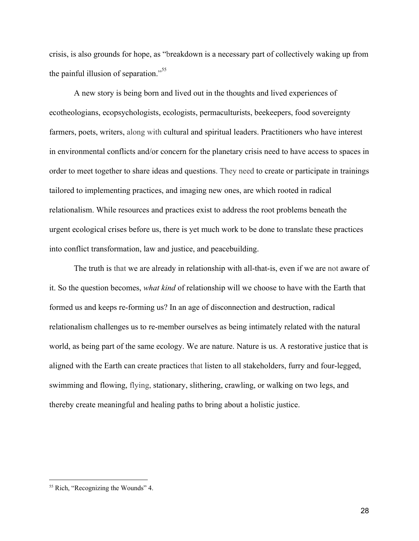crisis, is also grounds for hope, as "breakdown is a necessary part of collectively waking up from the painful illusion of separation."<sup>55</sup>

A new story is being born and lived out in the thoughts and lived experiences of ecotheologians, ecopsychologists, ecologists, permaculturists, beekeepers, food sovereignty farmers, poets, writers, along with cultural and spiritual leaders. Practitioners who have interest in environmental conflicts and/or concern for the planetary crisis need to have access to spaces in order to meet together to share ideas and questions. They need to create or participate in trainings tailored to implementing practices, and imaging new ones, are which rooted in radical relationalism. While resources and practices exist to address the root problems beneath the urgent ecological crises before us, there is yet much work to be done to translate these practices into conflict transformation, law and justice, and peacebuilding.

The truth is that we are already in relationship with all-that-is, even if we are not aware of it. So the question becomes, *what kind* of relationship will we choose to have with the Earth that formed us and keeps re-forming us? In an age of disconnection and destruction, radical relationalism challenges us to re-member ourselves as being intimately related with the natural world, as being part of the same ecology. We are nature. Nature is us. A restorative justice that is aligned with the Earth can create practices that listen to all stakeholders, furry and four-legged, swimming and flowing, flying, stationary, slithering, crawling, or walking on two legs, and thereby create meaningful and healing paths to bring about a holistic justice.

<sup>55</sup> Rich, "Recognizing the Wounds" 4.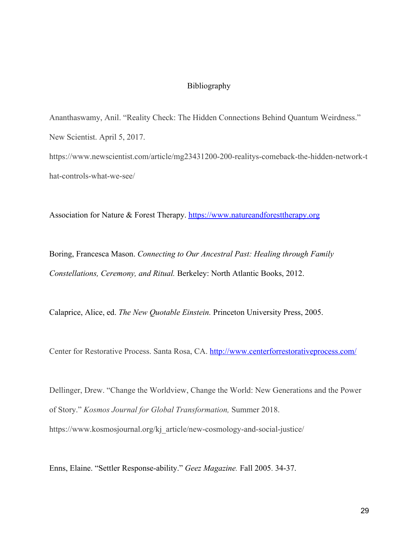### Bibliography

Ananthaswamy, Anil. "Reality Check: The Hidden Connections Behind Quantum Weirdness." New Scientist. April 5, 2017. [https://www.newscientist.com/article/mg23431200-200-realitys-comeback-the-h](https://www.newscientist.com/article/mg23431200-200-realitys-comeback-the-)idden-network-t hat-controls-what-we-see/

Association for Nature & Forest Therapy. [https://www.natureandforesttherapy.org](https://www.natureandforesttherapy.org/)

Boring, Francesca Mason. *Connecting to Our Ancestral Past: Healing through Family Constellations, Ceremony, and Ritual.* Berkeley: North Atlantic Books, 2012.

Calaprice, Alice, ed. *The New Quotable Einstein.* Princeton University Press, 2005.

Center for Restorative Process. Santa Rosa, CA. <http://www.centerforrestorativeprocess.com/>

Dellinger, Drew. "Change the Worldview, Change the World: New Generations and the Power of Story." *Kosmos Journal for Global Transformation,* Summer 2018. https://www.kosmosjournal.org/kj\_article/new-cosmology-and-social-justice/

Enns, Elaine. "Settler Response-ability." *Geez Magazine.* Fall 2005. 34-37.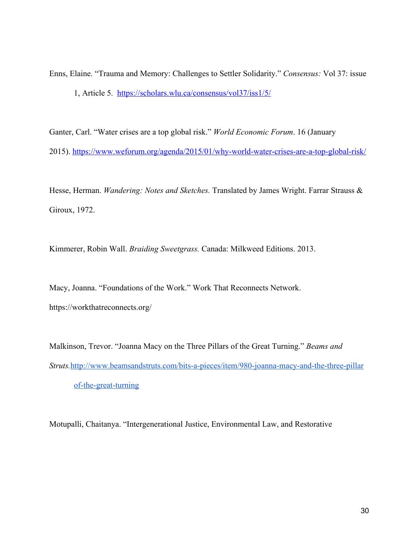Enns, Elaine. "Trauma and Memory: Challenges to Settler Solidarity." *Consensus:* Vol 37: issue 1, Article 5. <https://scholars.wlu.ca/consensus/vol37/iss1/5/>

Ganter, Carl. "Water crises are a top global risk." *World Economic Forum*. 16 (January 2015). <https://www.weforum.org/agenda/2015/01/why-world-water-crises-are-a-top-global-risk/>

Hesse, Herman. *Wandering: Notes and Sketches.* Translated by James Wright. Farrar Strauss & Giroux, 1972.

Kimmerer, Robin Wall. *Braiding Sweetgrass.* Canada: Milkweed Editions. 2013.

Macy, Joanna. "Foundations of the Work." Work That Reconnects Network. https://workthatreconnects.org/

Malkinson, Trevor. "Joanna Macy on the Three Pillars of the Great Turning." *Beams and Struts.*[http://www.beamsandstruts.com/bits-a-pieces/item/980-joanna-macy-and-the-three-pillar](http://www.beamsandstruts.com/bits-a-pieces/item/980-joanna-macy-and-the-three-pillars-of-the-great-turning) [of-the-great-turning](http://www.beamsandstruts.com/bits-a-pieces/item/980-joanna-macy-and-the-three-pillars-of-the-great-turning)

Motupalli, Chaitanya. "Intergenerational Justice, Environmental Law, and Restorative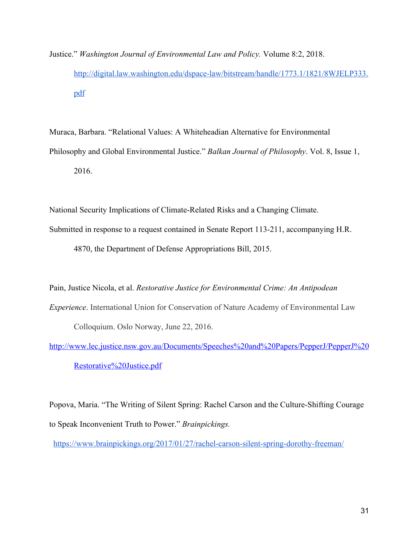Justice." *Washington Journal of Environmental Law and Policy.* Volume 8:2, 2018. [http://digital.law.washington.edu/dspace-law/bitstream/handle/1773.1/1821/8WJELP333.](http://digital.law.washington.edu/dspace-law/bitstream/handle/1773.1/1821/8WJELP333.pdf) [pdf](http://digital.law.washington.edu/dspace-law/bitstream/handle/1773.1/1821/8WJELP333.pdf)

Muraca, Barbara. "Relational Values: A Whiteheadian Alternative for Environmental Philosophy and Global Environmental Justice." *Balkan Journal of Philosophy*. Vol. 8, Issue 1, 2016.

National Security Implications of Climate-Related Risks and a Changing Climate.

Submitted in response to a request contained in Senate Report 113-211, accompanying H.R.

4870, the Department of Defense Appropriations Bill, 2015.

Pain, Justice Nicola, et al. *Restorative Justice for Environmental Crime: An Antipodean Experience*. International Union for Conservation of Nature Academy of Environmental Law Colloquium. Oslo Norway, June 22, 2016.

[http://www.lec.justice.nsw.gov.au/Documents/Speeches%20and%20Papers/PepperJ/PepperJ%20](http://www.lec.justice.nsw.gov.au/Documents/Speeches%20and%20Papers/PepperJ/PepperJ%20Restorative%20Justice.pdf) [Restorative%20Justice.pdf](http://www.lec.justice.nsw.gov.au/Documents/Speeches%20and%20Papers/PepperJ/PepperJ%20Restorative%20Justice.pdf)

Popova, Maria. "The Writing of Silent Spring: Rachel Carson and the Culture-Shifting Courage to Speak Inconvenient Truth to Power." *Brainpickings.*

<https://www.brainpickings.org/2017/01/27/rachel-carson-silent-spring-dorothy-freeman/>